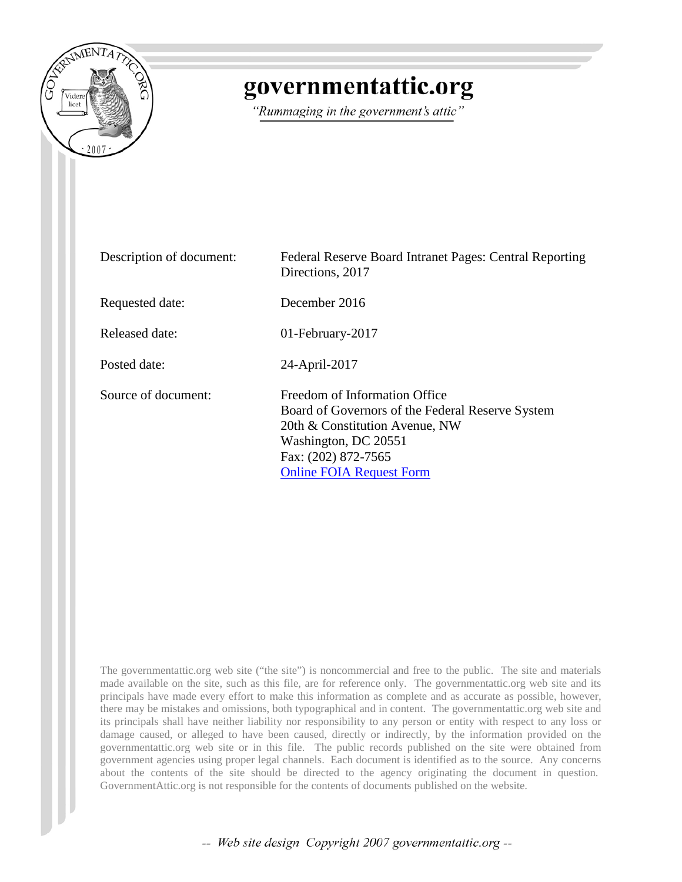

# governmentattic.org

"Rummaging in the government's attic"

| Description of document: | Federal Reserve Board Intranet Pages: Central Reporting<br>Directions, 2017                                                                                                                           |
|--------------------------|-------------------------------------------------------------------------------------------------------------------------------------------------------------------------------------------------------|
| Requested date:          | December 2016                                                                                                                                                                                         |
| Released date:           | 01-February-2017                                                                                                                                                                                      |
| Posted date:             | 24-April-2017                                                                                                                                                                                         |
| Source of document:      | Freedom of Information Office<br>Board of Governors of the Federal Reserve System<br>20th & Constitution Avenue, NW<br>Washington, DC 20551<br>Fax: (202) 872-7565<br><b>Online FOIA Request Form</b> |

The governmentattic.org web site ("the site") is noncommercial and free to the public. The site and materials made available on the site, such as this file, are for reference only. The governmentattic.org web site and its principals have made every effort to make this information as complete and as accurate as possible, however, there may be mistakes and omissions, both typographical and in content. The governmentattic.org web site and its principals shall have neither liability nor responsibility to any person or entity with respect to any loss or damage caused, or alleged to have been caused, directly or indirectly, by the information provided on the governmentattic.org web site or in this file. The public records published on the site were obtained from government agencies using proper legal channels. Each document is identified as to the source. Any concerns about the contents of the site should be directed to the agency originating the document in question. GovernmentAttic.org is not responsible for the contents of documents published on the website.

-- Web site design Copyright 2007 governmentattic.org --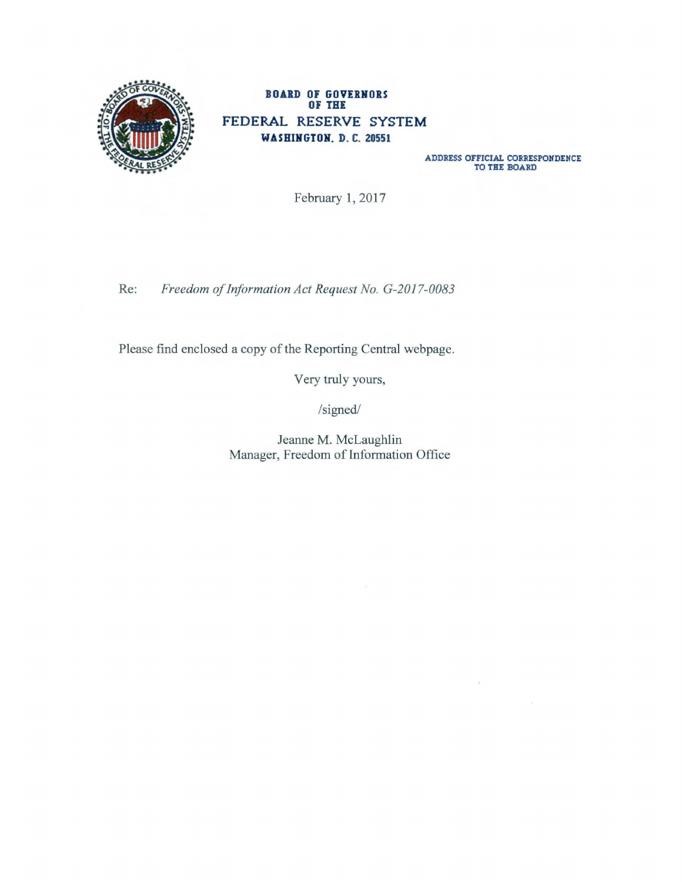

## BOARD OF GOVERNORS **OF THE FEDERAL RESERVE SYSTEM W.A.SHIHGTOH. D. C. 20551**

ADDRESS OFFICIAL CORRESPONDENCE **TO THE** BOARD

February 1, 2017

Re: *Freedom of Information Act Request No. G-2017-0083* 

Please find enclosed a copy of the Reporting Central webpage.

Very truly yours,

/signed/

Jeanne M. McLaughlin Manager, Freedom of Information Office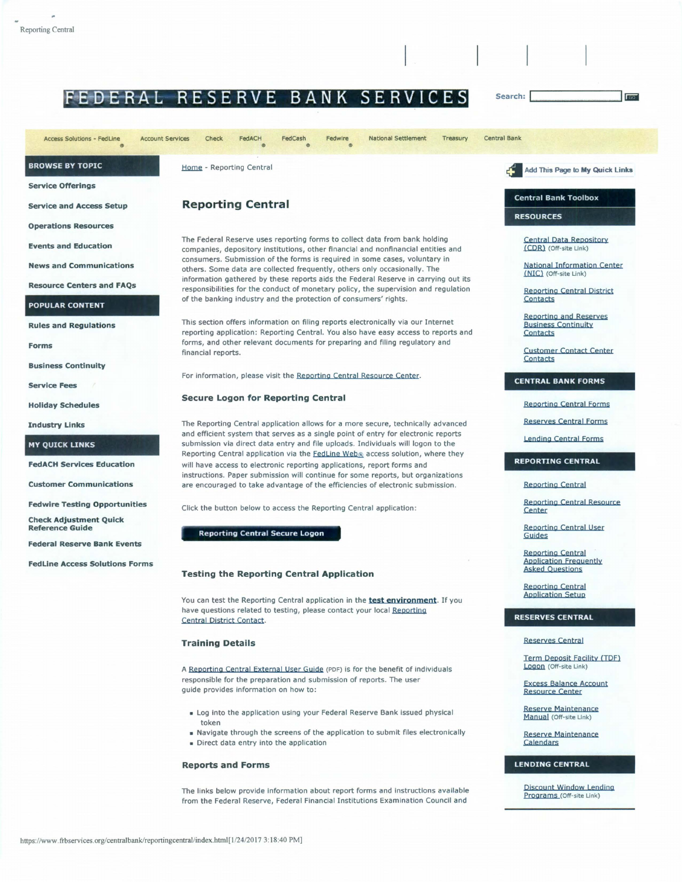# EDERAL RESERVE BANK SERVICES

FedACH **Access Solutions - FedLine Account Services** FedCash **National Settlement** Treasury Central Bank Check Fedwire **BROWSE BY TOPIC** Home - Reporting Central Add This Page to My Quick Links **Service Offerings Central Bank Toolbox Reporting Central Service and Access Setup RESOURCES Operations Resources** The Federal Reserve uses reporting forms to collect data from bank holding **Central Data Repository Events and Education** (CDR) (Off-site Link) companies, depository institutions, other financial and nonfinancial entities and consumers. Submission of the forms is required in some cases, voluntary in **National Information Center News and Communications** others. Some data are collected frequently, others only occasionally. The (NIC) (Off-site Link) information gathered by these reports aids the Federal Reserve in carrying out its **Resource Centers and FAOs** responsibilities for the conduct of monetary policy, the supervision and regulation **Reporting Central District** of the banking industry and the protection of consumers' rights. Contacts **POPULAR CONTENT Reporting and Reserves** This section offers information on filing reports electronically via our Internet **Rules and Regulations Business Continuity** reporting application: Reporting Central. You also have easy access to reports and Contacts forms, and other relevant documents for preparing and filing regulatory and **Forms Customer Contact Center** financial reports. **Contacts Business Continuity** For information, please visit the Reporting Central Resource Center. **CENTRAL BANK FORMS Service Fees Secure Logon for Reporting Central Reporting Central Forms Holiday Schedules Reserves Central Forms** The Reporting Central application allows for a more secure, technically advanced **Industry Links** and efficient system that serves as a single point of entry for electronic reports **Lending Central Forms MY QUICK LINKS** submission via direct data entry and file uploads. Individuals will logon to the Reporting Central application via the **FedLine Web**® access solution, where they **REPORTING CENTRAL FedACH Services Education** will have access to electronic reporting applications, report forms and instructions. Paper submission will continue for some reports, but organizations **Customer Communications** are encouraged to take advantage of the efficiencies of electronic submission. **Reporting Central Reporting Central Resource Fedwire Testing Opportunities** Click the button below to access the Reporting Central application: Center **Check Adjustment Ouick Reporting Central User Reference Guide Reporting Central Secure Logon** Guides **Federal Reserve Bank Events Reporting Central Application Frequently FedLine Access Solutions Forms Asked Questions Testing the Reporting Central Application Reporting Central Application Setup** You can test the Reporting Central application in the test environment. If you have questions related to testing, please contact your local Reporting **RESERVES CENTRAL** Central District Contact. **Reserves Central Training Details Term Deposit Facility (TDF)** Logon (Off-site Link) A Reporting Central External User Guide (PDF) is for the benefit of individuals responsible for the preparation and submission of reports. The user **Excess Balance Account** quide provides information on how to: **Resource Center** Reserve Maintenance Log into the application using your Federal Reserve Bank issued physical Manual (Off-site Link) token Navigate through the screens of the application to submit files electronically Reserve Maintenance Direct data entry into the application Calendars

Search:

The links below provide information about report forms and instructions available from the Federal Reserve, Federal Financial Institutions Examination Council and

**Discount Window Lending** Programs (Off-site Link)

**LENDING CENTRAL** 

**Reports and Forms**